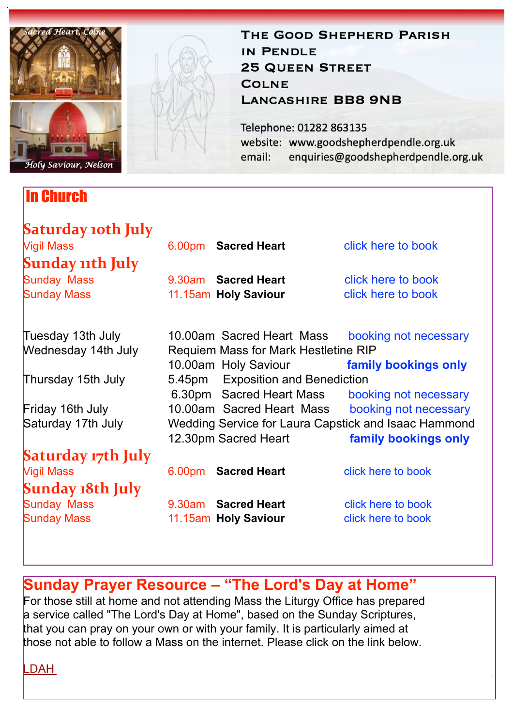

### In Church

# THE GOOD SHEPHERD PARISH IN PENDLE **25 QUEEN STREET COLNE LANCASHIRE BB8 9NB**

Telephone: 01282 863135 website: www.goodshepherdpendle.org.uk email: enquiries@goodshepherdpendle.org.uk

| Saturday 10th July         |                                                                     |                       |
|----------------------------|---------------------------------------------------------------------|-----------------------|
| <b>Vigil Mass</b>          | 6.00pm Sacred Heart                                                 | click here to book    |
| <b>Sunday 11th July</b>    |                                                                     |                       |
| <b>Sunday Mass</b>         | 9.30am Sacred Heart                                                 | click here to book    |
| <b>Sunday Mass</b>         | 11.15am Holy Saviour                                                | click here to book    |
| Tuesday 13th July          | 10.00am Sacred Heart Mass                                           | booking not necessary |
| <b>Wednesday 14th July</b> | <b>Requiem Mass for Mark Hestletine RIP</b><br>10.00am Holy Saviour | family bookings only  |
| Thursday 15th July         | 5.45pm Exposition and Benediction                                   |                       |
|                            | 6.30pm Sacred Heart Mass                                            | booking not necessary |
| Friday 16th July           | 10.00am Sacred Heart Mass                                           | booking not necessary |
| Saturday 17th July         | Wedding Service for Laura Capstick and Isaac Hammond                |                       |
|                            | 12.30pm Sacred Heart                                                | family bookings only  |
| Saturday 17th July         |                                                                     |                       |
| <b>Vigil Mass</b>          | 6.00pm Sacred Heart                                                 | click here to book    |
| Sunday 18th July           |                                                                     |                       |
| <b>Sunday Mass</b>         | 9.30am Sacred Heart                                                 | click here to book    |
| <b>Sunday Mass</b>         | 11.15am Holy Saviour                                                | click here to book    |
|                            |                                                                     |                       |

## **Sunday Prayer Resource – "The Lord's Day at Home"**

For those still at home and not attending Mass the Liturgy Office has prepared a service called "The Lord's Day at Home", based on the Sunday Scriptures, that you can pray on your own or with your family. It is particularly aimed at those not able to follow a Mass on the internet. Please click on the link below.

[LDAH](https://gbr01.safelinks.protection.outlook.com/?url=https://dioceseofsalford.us6.list-manage.com/track/click?u=76e219dab8653b775ba8aac4c&id=dbd054799b&e=5ce69633f0&data=04%7C01%7Cpeter.wilkinson@dioceseofsalford.org.uk%7C894e7c7da704420bd6d808d9411f77d4%7C699a61ae142a45a090c604b2f08de19b%7C0%7C0%7C637612425671561711%7CUnknown%7CTWFpbGZsb3d8eyJWIjoiMC4wLjAwMDAiLCJQIjoiV2luMzIiLCJBTiI6Ik1haWwiLCJXVCI6Mn0=%7C1000&sdata=1hcyMwlZV/53QiplmnCMPX2dIAtqarQ4bqRNx6uov0k=&reserved=0%22%20%5Ct%20%22_blank)